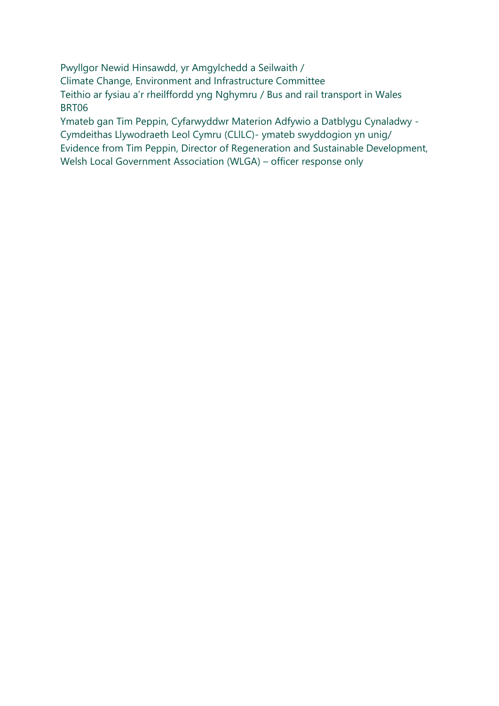Pwyllgor Newid Hinsawdd, yr Amgylchedd a Seilwaith / Climate Change, Environment and Infrastructure Committee Teithio ar fysiau a'r rheilffordd yng Nghymru / Bus and rail transport in Wales BRT06

Ymateb gan Tim Peppin, Cyfarwyddwr Materion Adfywio a Datblygu Cynaladwy - Cymdeithas Llywodraeth Leol Cymru (CLlLC)- ymateb swyddogion yn unig/ Evidence from Tim Peppin, Director of Regeneration and Sustainable Development, Welsh Local Government Association (WLGA) – officer response only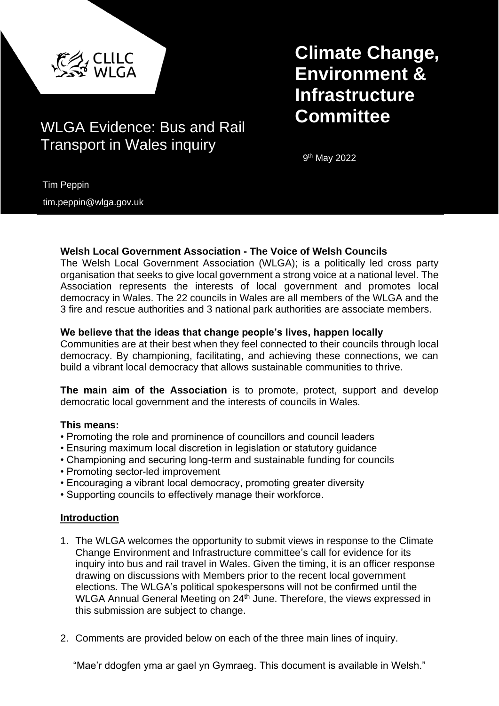

# **Committee** WLGA Evidence: Bus and Rail Transport in Wales inquiry

# **Climate Change, Environment & Infrastructure**

9<sup>th</sup> May 2022

Tim Peppin

tim.peppin@wlga.gov.uk

# **Welsh Local Government Association - The Voice of Welsh Councils**

The Welsh Local Government Association (WLGA); is a politically led cross party organisation that seeks to give local government a strong voice at a national level. The Association represents the interests of local government and promotes local democracy in Wales. The 22 councils in Wales are all members of the WLGA and the 3 fire and rescue authorities and 3 national park authorities are associate members.

# **We believe that the ideas that change people's lives, happen locally**

Communities are at their best when they feel connected to their councils through local democracy. By championing, facilitating, and achieving these connections, we can build a vibrant local democracy that allows sustainable communities to thrive.

**The main aim of the Association** is to promote, protect, support and develop democratic local government and the interests of councils in Wales.

# **This means:**

- Promoting the role and prominence of councillors and council leaders
- Ensuring maximum local discretion in legislation or statutory guidance
- Championing and securing long-term and sustainable funding for councils
- Promoting sector-led improvement
- Encouraging a vibrant local democracy, promoting greater diversity
- Supporting councils to effectively manage their workforce.

# **Introduction**

- 1. The WLGA welcomes the opportunity to submit views in response to the Climate Change Environment and Infrastructure committee's call for evidence for its inquiry into bus and rail travel in Wales. Given the timing, it is an officer response drawing on discussions with Members prior to the recent local government elections. The WLGA's political spokespersons will not be confirmed until the WLGA Annual General Meeting on 24<sup>th</sup> June. Therefore, the views expressed in this submission are subject to change.
- 2. Comments are provided below on each of the three main lines of inquiry.

"Mae'r ddogfen yma ar gael yn Gymraeg. This document is available in Welsh."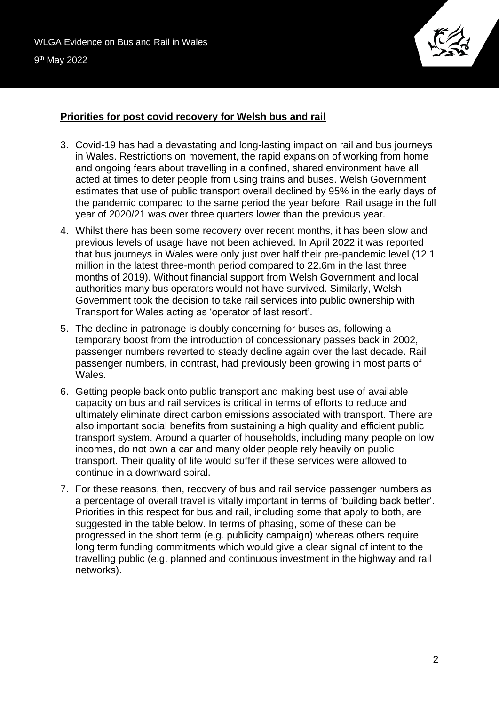

# **Priorities for post covid recovery for Welsh bus and rail**

- 3. Covid-19 has had a devastating and long-lasting impact on rail and bus journeys in Wales. Restrictions on movement, the rapid expansion of working from home and ongoing fears about travelling in a confined, shared environment have all acted at times to deter people from using trains and buses. Welsh Government estimates that use of public transport overall declined by 95% in the early days of the pandemic compared to the same period the year before. Rail usage in the full year of 2020/21 was over three quarters lower than the previous year.
- 4. Whilst there has been some recovery over recent months, it has been slow and previous levels of usage have not been achieved. In April 2022 it was reported that bus journeys in Wales were only just over half their pre-pandemic level (12.1 million in the latest three-month period compared to 22.6m in the last three months of 2019). Without financial support from Welsh Government and local authorities many bus operators would not have survived. Similarly, Welsh Government took the decision to take rail services into public ownership with Transport for Wales acting as 'operator of last resort'.
- 5. The decline in patronage is doubly concerning for buses as, following a temporary boost from the introduction of concessionary passes back in 2002, passenger numbers reverted to steady decline again over the last decade. Rail passenger numbers, in contrast, had previously been growing in most parts of Wales.
- 6. Getting people back onto public transport and making best use of available capacity on bus and rail services is critical in terms of efforts to reduce and ultimately eliminate direct carbon emissions associated with transport. There are also important social benefits from sustaining a high quality and efficient public transport system. Around a quarter of households, including many people on low incomes, do not own a car and many older people rely heavily on public transport. Their quality of life would suffer if these services were allowed to continue in a downward spiral.
- 7. For these reasons, then, recovery of bus and rail service passenger numbers as a percentage of overall travel is vitally important in terms of 'building back better'. Priorities in this respect for bus and rail, including some that apply to both, are suggested in the table below. In terms of phasing, some of these can be progressed in the short term (e.g. publicity campaign) whereas others require long term funding commitments which would give a clear signal of intent to the travelling public (e.g. planned and continuous investment in the highway and rail networks).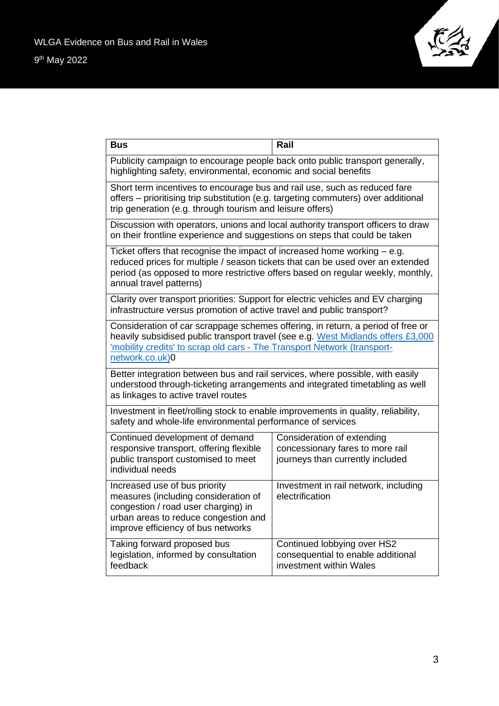

| <b>Bus</b>                                                                                                                                                                                                                                                                 | Rail                                                                                               |
|----------------------------------------------------------------------------------------------------------------------------------------------------------------------------------------------------------------------------------------------------------------------------|----------------------------------------------------------------------------------------------------|
| Publicity campaign to encourage people back onto public transport generally,<br>highlighting safety, environmental, economic and social benefits                                                                                                                           |                                                                                                    |
| Short term incentives to encourage bus and rail use, such as reduced fare<br>offers - prioritising trip substitution (e.g. targeting commuters) over additional<br>trip generation (e.g. through tourism and leisure offers)                                               |                                                                                                    |
| Discussion with operators, unions and local authority transport officers to draw<br>on their frontline experience and suggestions on steps that could be taken                                                                                                             |                                                                                                    |
| Ticket offers that recognise the impact of increased home working $-$ e.g.<br>reduced prices for multiple / season tickets that can be used over an extended<br>period (as opposed to more restrictive offers based on regular weekly, monthly,<br>annual travel patterns) |                                                                                                    |
| Clarity over transport priorities: Support for electric vehicles and EV charging<br>infrastructure versus promotion of active travel and public transport?                                                                                                                 |                                                                                                    |
| Consideration of car scrappage schemes offering, in return, a period of free or<br>heavily subsidised public transport travel (see e.g. West Midlands offers £3,000<br>'mobility credits' to scrap old cars - The Transport Network (transport-<br>network.co.uk)0         |                                                                                                    |
| Better integration between bus and rail services, where possible, with easily<br>understood through-ticketing arrangements and integrated timetabling as well<br>as linkages to active travel routes                                                                       |                                                                                                    |
| Investment in fleet/rolling stock to enable improvements in quality, reliability,<br>safety and whole-life environmental performance of services                                                                                                                           |                                                                                                    |
| Continued development of demand<br>responsive transport, offering flexible<br>public transport customised to meet<br>individual needs                                                                                                                                      | Consideration of extending<br>concessionary fares to more rail<br>journeys than currently included |
| Increased use of bus priority<br>measures (including consideration of<br>congestion / road user charging) in<br>urban areas to reduce congestion and<br>improve efficiency of bus networks                                                                                 | Investment in rail network, including<br>electrification                                           |
| Taking forward proposed bus<br>legislation, informed by consultation<br>feedback                                                                                                                                                                                           | Continued lobbying over HS2<br>consequential to enable additional<br>investment within Wales       |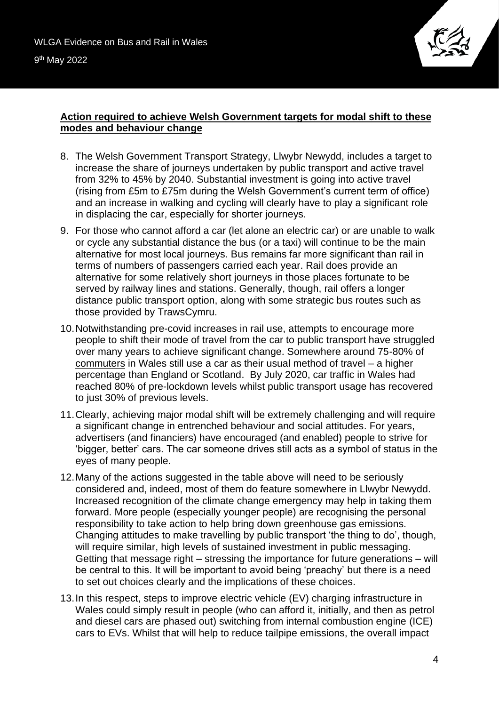

# **Action required to achieve Welsh Government targets for modal shift to these modes and behaviour change**

- 8. The Welsh Government Transport Strategy, Llwybr Newydd, includes a target to increase the share of journeys undertaken by public transport and active travel from 32% to 45% by 2040. Substantial investment is going into active travel (rising from £5m to £75m during the Welsh Government's current term of office) and an increase in walking and cycling will clearly have to play a significant role in displacing the car, especially for shorter journeys.
- 9. For those who cannot afford a car (let alone an electric car) or are unable to walk or cycle any substantial distance the bus (or a taxi) will continue to be the main alternative for most local journeys. Bus remains far more significant than rail in terms of numbers of passengers carried each year. Rail does provide an alternative for some relatively short journeys in those places fortunate to be served by railway lines and stations. Generally, though, rail offers a longer distance public transport option, along with some strategic bus routes such as those provided by TrawsCymru.
- 10.Notwithstanding pre-covid increases in rail use, attempts to encourage more people to shift their mode of travel from the car to public transport have struggled over many years to achieve significant change. Somewhere around 75-80% of commuters in Wales still use a car as their usual method of travel – a higher percentage than England or Scotland. By July 2020, car traffic in Wales had reached 80% of pre-lockdown levels whilst public transport usage has recovered to just 30% of previous levels.
- 11.Clearly, achieving major modal shift will be extremely challenging and will require a significant change in entrenched behaviour and social attitudes. For years, advertisers (and financiers) have encouraged (and enabled) people to strive for 'bigger, better' cars. The car someone drives still acts as a symbol of status in the eyes of many people.
- 12.Many of the actions suggested in the table above will need to be seriously considered and, indeed, most of them do feature somewhere in Llwybr Newydd. Increased recognition of the climate change emergency may help in taking them forward. More people (especially younger people) are recognising the personal responsibility to take action to help bring down greenhouse gas emissions. Changing attitudes to make travelling by public transport 'the thing to do', though, will require similar, high levels of sustained investment in public messaging. Getting that message right – stressing the importance for future generations – will be central to this. It will be important to avoid being 'preachy' but there is a need to set out choices clearly and the implications of these choices.
- 13.In this respect, steps to improve electric vehicle (EV) charging infrastructure in Wales could simply result in people (who can afford it, initially, and then as petrol and diesel cars are phased out) switching from internal combustion engine (ICE) cars to EVs. Whilst that will help to reduce tailpipe emissions, the overall impact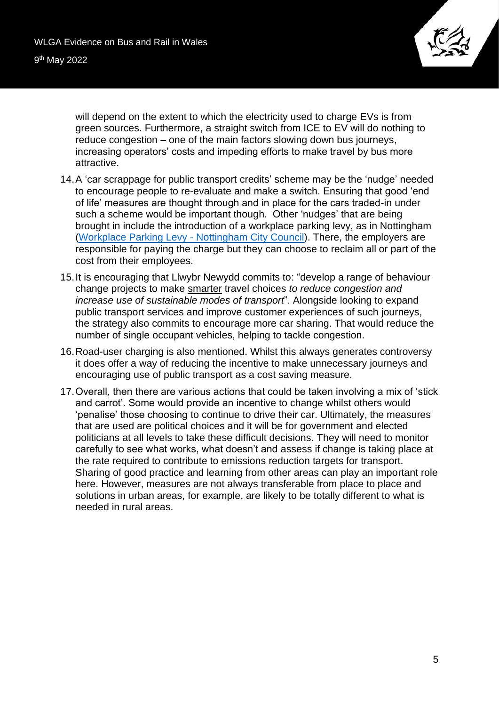

will depend on the extent to which the electricity used to charge EVs is from green sources. Furthermore, a straight switch from ICE to EV will do nothing to reduce congestion – one of the main factors slowing down bus journeys, increasing operators' costs and impeding efforts to make travel by bus more attractive.

- 14.A 'car scrappage for public transport credits' scheme may be the 'nudge' needed to encourage people to re-evaluate and make a switch. Ensuring that good 'end of life' measures are thought through and in place for the cars traded-in under such a scheme would be important though. Other 'nudges' that are being brought in include the introduction of a workplace parking levy, as in Nottingham [\(Workplace Parking Levy -](https://www.nottinghamcity.gov.uk/wpl) Nottingham City Council). There, the employers are responsible for paying the charge but they can choose to reclaim all or part of the cost from their employees.
- 15.It is encouraging that Llwybr Newydd commits to: "develop a range of behaviour change projects to make smarter travel choices *to reduce congestion and increase use of sustainable modes of transport*". Alongside looking to expand public transport services and improve customer experiences of such journeys, the strategy also commits to encourage more car sharing. That would reduce the number of single occupant vehicles, helping to tackle congestion.
- 16.Road-user charging is also mentioned. Whilst this always generates controversy it does offer a way of reducing the incentive to make unnecessary journeys and encouraging use of public transport as a cost saving measure.
- 17.Overall, then there are various actions that could be taken involving a mix of 'stick and carrot'. Some would provide an incentive to change whilst others would 'penalise' those choosing to continue to drive their car. Ultimately, the measures that are used are political choices and it will be for government and elected politicians at all levels to take these difficult decisions. They will need to monitor carefully to see what works, what doesn't and assess if change is taking place at the rate required to contribute to emissions reduction targets for transport. Sharing of good practice and learning from other areas can play an important role here. However, measures are not always transferable from place to place and solutions in urban areas, for example, are likely to be totally different to what is needed in rural areas.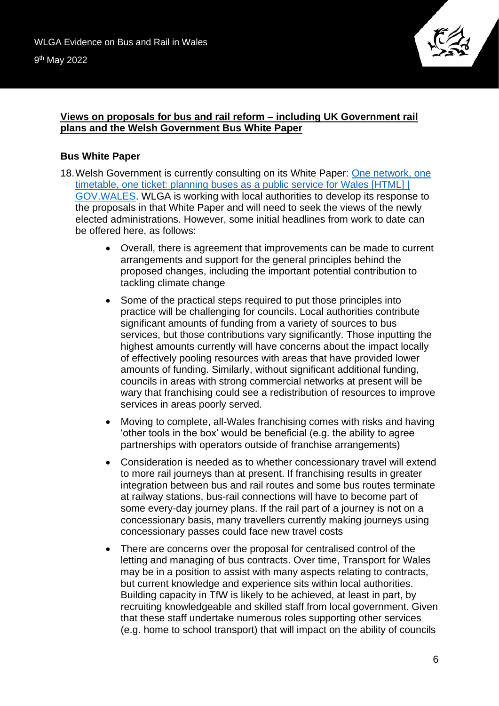

### **Views on proposals for bus and rail reform – including UK Government rail plans and the Welsh Government Bus White Paper**

# **Bus White Paper**

- 18.Welsh Government is currently consulting on its White Paper: [One network, one](https://gov.wales/one-network-one-timetable-one-ticket-planning-buses-public-service-wales-html)  [timetable, one ticket: planning buses as a public service for Wales \[HTML\] |](https://gov.wales/one-network-one-timetable-one-ticket-planning-buses-public-service-wales-html)  [GOV.WALES.](https://gov.wales/one-network-one-timetable-one-ticket-planning-buses-public-service-wales-html) WLGA is working with local authorities to develop its response to the proposals in that White Paper and will need to seek the views of the newly elected administrations. However, some initial headlines from work to date can be offered here, as follows:
	- Overall, there is agreement that improvements can be made to current arrangements and support for the general principles behind the proposed changes, including the important potential contribution to tackling climate change
	- Some of the practical steps required to put those principles into practice will be challenging for councils. Local authorities contribute significant amounts of funding from a variety of sources to bus services, but those contributions vary significantly. Those inputting the highest amounts currently will have concerns about the impact locally of effectively pooling resources with areas that have provided lower amounts of funding. Similarly, without significant additional funding, councils in areas with strong commercial networks at present will be wary that franchising could see a redistribution of resources to improve services in areas poorly served.
	- Moving to complete, all-Wales franchising comes with risks and having 'other tools in the box' would be beneficial (e.g. the ability to agree partnerships with operators outside of franchise arrangements)
	- Consideration is needed as to whether concessionary travel will extend to more rail journeys than at present. If franchising results in greater integration between bus and rail routes and some bus routes terminate at railway stations, bus-rail connections will have to become part of some every-day journey plans. If the rail part of a journey is not on a concessionary basis, many travellers currently making journeys using concessionary passes could face new travel costs
	- There are concerns over the proposal for centralised control of the letting and managing of bus contracts. Over time, Transport for Wales may be in a position to assist with many aspects relating to contracts, but current knowledge and experience sits within local authorities. Building capacity in TfW is likely to be achieved, at least in part, by recruiting knowledgeable and skilled staff from local government. Given that these staff undertake numerous roles supporting other services (e.g. home to school transport) that will impact on the ability of councils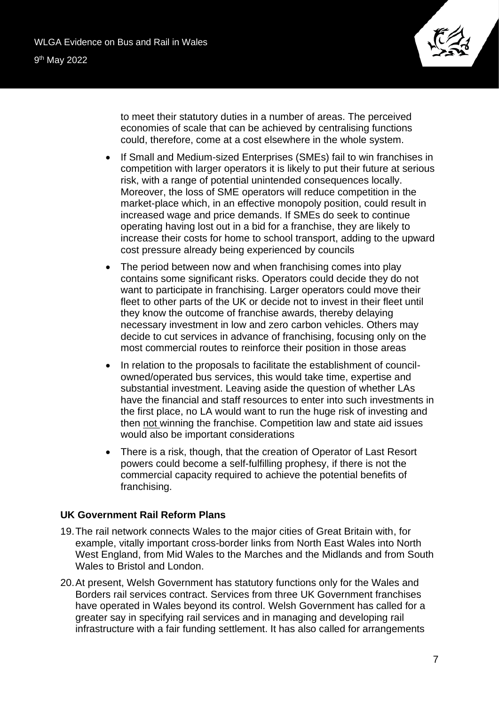

to meet their statutory duties in a number of areas. The perceived economies of scale that can be achieved by centralising functions could, therefore, come at a cost elsewhere in the whole system.

- If Small and Medium-sized Enterprises (SMEs) fail to win franchises in competition with larger operators it is likely to put their future at serious risk, with a range of potential unintended consequences locally. Moreover, the loss of SME operators will reduce competition in the market-place which, in an effective monopoly position, could result in increased wage and price demands. If SMEs do seek to continue operating having lost out in a bid for a franchise, they are likely to increase their costs for home to school transport, adding to the upward cost pressure already being experienced by councils
- The period between now and when franchising comes into play contains some significant risks. Operators could decide they do not want to participate in franchising. Larger operators could move their fleet to other parts of the UK or decide not to invest in their fleet until they know the outcome of franchise awards, thereby delaying necessary investment in low and zero carbon vehicles. Others may decide to cut services in advance of franchising, focusing only on the most commercial routes to reinforce their position in those areas
- In relation to the proposals to facilitate the establishment of councilowned/operated bus services, this would take time, expertise and substantial investment. Leaving aside the question of whether LAs have the financial and staff resources to enter into such investments in the first place, no LA would want to run the huge risk of investing and then not winning the franchise. Competition law and state aid issues would also be important considerations
- There is a risk, though, that the creation of Operator of Last Resort powers could become a self-fulfilling prophesy, if there is not the commercial capacity required to achieve the potential benefits of franchising.

#### **UK Government Rail Reform Plans**

- 19.The rail network connects Wales to the major cities of Great Britain with, for example, vitally important cross-border links from North East Wales into North West England, from Mid Wales to the Marches and the Midlands and from South Wales to Bristol and London.
- 20.At present, Welsh Government has statutory functions only for the Wales and Borders rail services contract. Services from three UK Government franchises have operated in Wales beyond its control. Welsh Government has called for a greater say in specifying rail services and in managing and developing rail infrastructure with a fair funding settlement. It has also called for arrangements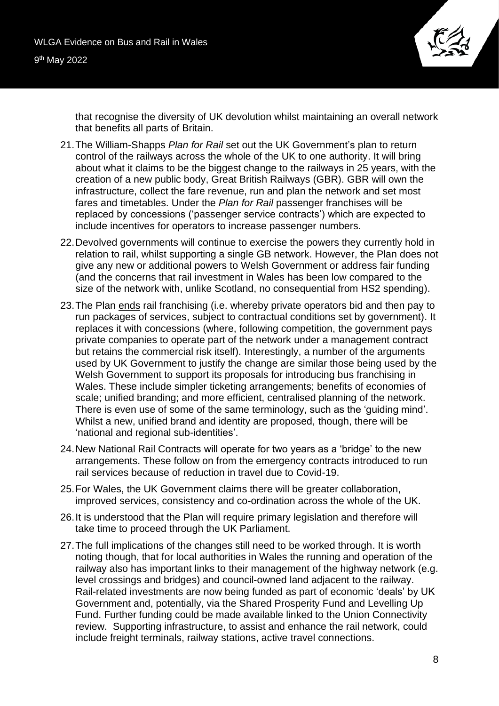

that recognise the diversity of UK devolution whilst maintaining an overall network that benefits all parts of Britain.

- 21.The William-Shapps *Plan for Rail* set out the UK Government's plan to return control of the railways across the whole of the UK to one authority. It will bring about what it claims to be the biggest change to the railways in 25 years, with the creation of a new public body, Great British Railways (GBR). GBR will own the infrastructure, collect the fare revenue, run and plan the network and set most fares and timetables. Under the *Plan for Rail* passenger franchises will be replaced by concessions ('passenger service contracts') which are expected to include incentives for operators to increase passenger numbers.
- 22.Devolved governments will continue to exercise the powers they currently hold in relation to rail, whilst supporting a single GB network. However, the Plan does not give any new or additional powers to Welsh Government or address fair funding (and the concerns that rail investment in Wales has been low compared to the size of the network with, unlike Scotland, no consequential from HS2 spending).
- 23.The Plan ends rail franchising (i.e. whereby private operators bid and then pay to run packages of services, subject to contractual conditions set by government). It replaces it with concessions (where, following competition, the government pays private companies to operate part of the network under a management contract but retains the commercial risk itself). Interestingly, a number of the arguments used by UK Government to justify the change are similar those being used by the Welsh Government to support its proposals for introducing bus franchising in Wales. These include simpler ticketing arrangements; benefits of economies of scale; unified branding; and more efficient, centralised planning of the network. There is even use of some of the same terminology, such as the 'guiding mind'. Whilst a new, unified brand and identity are proposed, though, there will be 'national and regional sub-identities'.
- 24.New National Rail Contracts will operate for two years as a 'bridge' to the new arrangements. These follow on from the emergency contracts introduced to run rail services because of reduction in travel due to Covid-19.
- 25.For Wales, the UK Government claims there will be greater collaboration, improved services, consistency and co-ordination across the whole of the UK.
- 26.It is understood that the Plan will require primary legislation and therefore will take time to proceed through the UK Parliament.
- 27.The full implications of the changes still need to be worked through. It is worth noting though, that for local authorities in Wales the running and operation of the railway also has important links to their management of the highway network (e.g. level crossings and bridges) and council-owned land adjacent to the railway. Rail-related investments are now being funded as part of economic 'deals' by UK Government and, potentially, via the Shared Prosperity Fund and Levelling Up Fund. Further funding could be made available linked to the Union Connectivity review. Supporting infrastructure, to assist and enhance the rail network, could include freight terminals, railway stations, active travel connections.